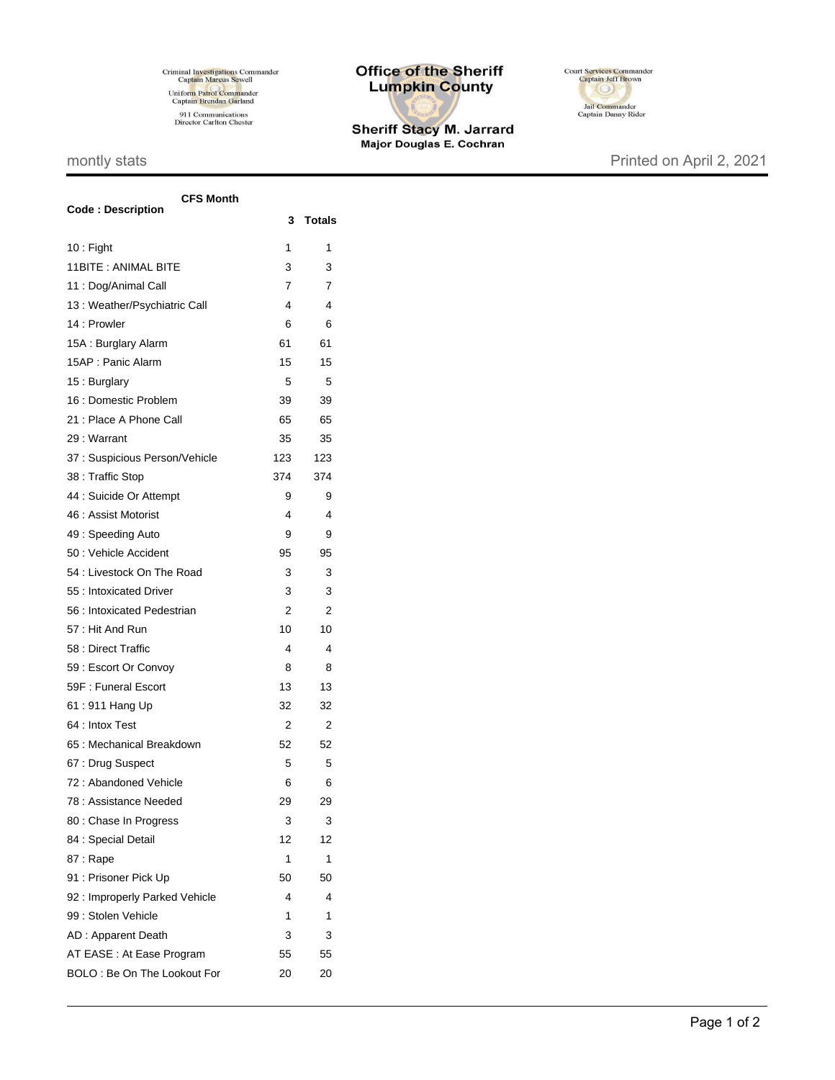Criminal Investigations Commander<br>Captain Marcus Sewell Uniform Patrol Commander<br>Captain Brendan Garland 911 Communications<br>Director Carlton Chester

## **Office of the Sheriff Lumpkin County**

Sheriff Stacy M. Jarrard<br>Major Douglas E. Cochran



## montly stats **Printed on April 2, 2021**

| <b>CFS Month</b>               |     |               |  |
|--------------------------------|-----|---------------|--|
| <b>Code: Description</b>       | 3   | <b>Totals</b> |  |
| $10:$ Fight                    | 1   | 1             |  |
| 11BITE: ANIMAL BITE            | 3   | 3             |  |
| 11 : Dog/Animal Call           | 7   | 7             |  |
| 13 : Weather/Psychiatric Call  | 4   | 4             |  |
| 14 : Prowler                   | 6   | 6             |  |
| 15A: Burglary Alarm            | 61  | 61            |  |
| 15AP: Panic Alarm              | 15  | 15            |  |
| 15: Burglary                   | 5   | 5             |  |
| 16 : Domestic Problem          | 39  | 39            |  |
| 21 : Place A Phone Call        | 65  | 65            |  |
| 29: Warrant                    | 35  | 35            |  |
| 37 : Suspicious Person/Vehicle | 123 | 123           |  |
| 38 : Traffic Stop              | 374 | 374           |  |
| 44 : Suicide Or Attempt        | 9   | 9             |  |
| 46 : Assist Motorist           | 4   | 4             |  |
| 49: Speeding Auto              | 9   | 9             |  |
| 50 : Vehicle Accident          | 95  | 95            |  |
| 54 : Livestock On The Road     | 3   | 3             |  |
| 55 : Intoxicated Driver        | 3   | 3             |  |
| 56 : Intoxicated Pedestrian    | 2   | 2             |  |
| 57: Hit And Run                | 10  | 10            |  |
| 58 : Direct Traffic            | 4   | 4             |  |
| 59 : Escort Or Convoy          | 8   | 8             |  |
| 59F: Funeral Escort            | 13  | 13            |  |
| 61:911 Hang Up                 | 32  | 32            |  |
| 64 : Intox Test                | 2   | 2             |  |
| 65 : Mechanical Breakdown      | 52  | 52            |  |
| 67: Drug Suspect               | 5   | 5             |  |
| 72: Abandoned Vehicle          | 6   | 6             |  |
| 78 : Assistance Needed         | 29  | 29            |  |
| 80 : Chase In Progress         | 3   | 3             |  |
| 84 : Special Detail            | 12  | 12            |  |
| 87: Rape                       | 1   | 1             |  |
| 91 : Prisoner Pick Up          | 50  | 50            |  |
| 92 : Improperly Parked Vehicle | 4   | 4             |  |
| 99 : Stolen Vehicle            | 1   | 1             |  |
| AD: Apparent Death             | 3   | 3             |  |
| AT EASE : At Ease Program      | 55  | 55            |  |
| BOLO: Be On The Lookout For    | 20  | 20            |  |
|                                |     |               |  |